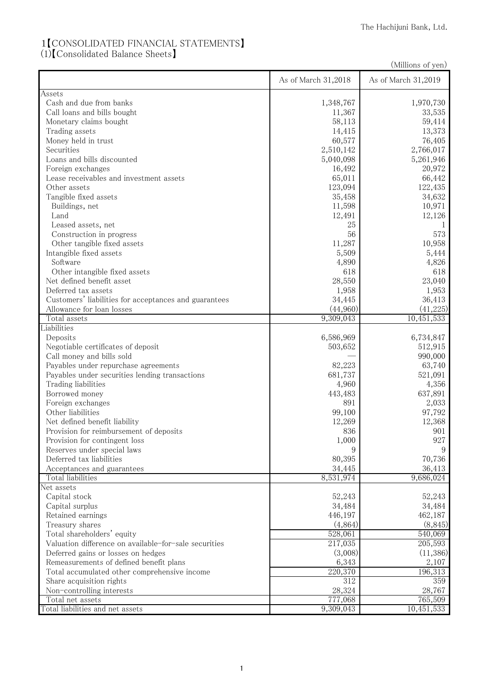## 1【CONSOLIDATED FINANCIAL STATEMENTS】

(1)【Consolidated Balance Sheets】

|                                                       |                     | (Millions of yen)   |
|-------------------------------------------------------|---------------------|---------------------|
|                                                       | As of March 31,2018 | As of March 31,2019 |
| Assets                                                |                     |                     |
| Cash and due from banks                               | 1,348,767           | 1,970,730           |
| Call loans and bills bought                           | 11,367              | 33,535              |
| Monetary claims bought                                | 58,113              | 59,414              |
| Trading assets                                        | 14,415              | 13,373              |
| Money held in trust                                   | 60,577              | 76,405              |
| Securities                                            | 2,510,142           | 2,766,017           |
| Loans and bills discounted                            | 5,040,098           | 5,261,946           |
| Foreign exchanges                                     | 16,492              | 20,972              |
| Lease receivables and investment assets               | 65,011              | 66,442              |
| Other assets                                          | 123,094             | 122,435             |
| Tangible fixed assets                                 | 35,458              | 34,632              |
| Buildings, net                                        | 11,598              | 10,971              |
| Land                                                  | 12,491              | 12,126              |
| Leased assets, net                                    | 25                  | 1                   |
| Construction in progress                              | 56                  | 573                 |
| Other tangible fixed assets                           | 11,287              | 10,958              |
| Intangible fixed assets                               | 5,509               | 5,444               |
| Software                                              | 4,890               | 4,826               |
| Other intangible fixed assets                         | 618                 | 618                 |
| Net defined benefit asset                             | 28,550              | 23,040              |
| Deferred tax assets                                   | 1,958               | 1,953               |
| Customers' liabilities for acceptances and guarantees | 34,445              | 36,413              |
| Allowance for loan losses                             | (44,960)            | (41,225)            |
| Total assets                                          | 9,309,043           | 10,451,533          |
| Liabilities<br>Deposits                               | 6,586,969           | 6,734,847           |
| Negotiable certificates of deposit                    | 503,652             | 512,915             |
| Call money and bills sold                             |                     | 990,000             |
| Payables under repurchase agreements                  | 82,223              | 63,740              |
| Payables under securities lending transactions        | 681,737             | 521,091             |
| Trading liabilities                                   | 4,960               | 4,356               |
| Borrowed money                                        | 443,483             | 637,891             |
| Foreign exchanges                                     | 891                 | 2,033               |
| Other liabilities                                     | 99,100              | 97,792              |
| Net defined benefit liability                         | 12,269              | 12,368              |
| Provision for reimbursement of deposits               | 836                 | 901                 |
| Provision for contingent loss                         | 1,000               | 927                 |
| Reserves under special laws                           | 9                   | 9                   |
| Deferred tax liabilities                              | 80,395              | 70,736              |
| Acceptances and guarantees                            | 34,445              | 36,413              |
| Total liabilities                                     | 8,531,974           | 9,686,024           |
| Net assets                                            |                     |                     |
| Capital stock                                         | 52,243              | 52,243              |
| Capital surplus                                       | 34,484              | 34,484              |
| Retained earnings                                     | 446,197             | 462,187             |
| Treasury shares                                       | (4,864)             | (8, 845)            |
| Total shareholders' equity                            | 528,061             | 540,069             |
| Valuation difference on available-for-sale securities | 217,035             | 205,593             |
| Deferred gains or losses on hedges                    | (3,008)             | (11,386)            |
| Remeasurements of defined benefit plans               | 6,343               | 2,107               |
| Total accumulated other comprehensive income          | 220,370             | 196,313             |
| Share acquisition rights                              | 312                 | 359                 |
| Non-controlling interests                             | 28,324              | 28,767              |
| Total net assets                                      | 777,068             | 765,509             |
| Total liabilities and net assets                      | 9,309,043           | 10,451,533          |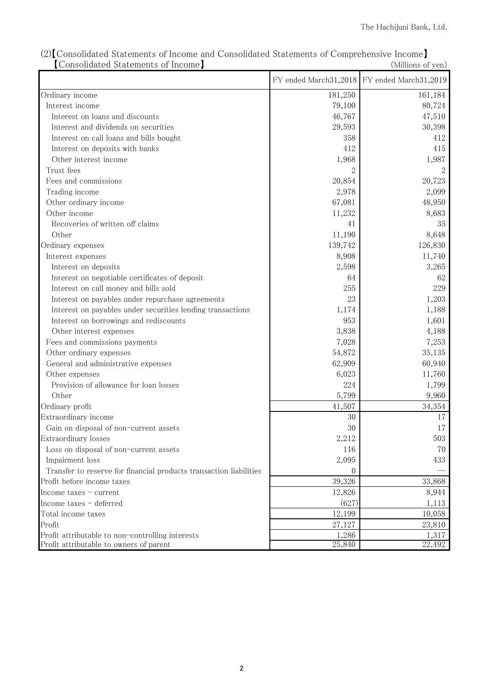|                                                                    |          | FY ended March31,2018 FY ended March31,2019 |
|--------------------------------------------------------------------|----------|---------------------------------------------|
|                                                                    |          |                                             |
| Ordinary income                                                    | 181,250  | 161,184                                     |
| Interest income                                                    | 79,100   | 80,724                                      |
| Interest on loans and discounts                                    | 46,767   | 47,510                                      |
| Interest and dividends on securities                               | 29,593   | 30,398                                      |
| Interest on call loans and bills bought                            | 358      | 412                                         |
| Interest on deposits with banks                                    | 412      | 415                                         |
| Other interest income                                              | 1,968    | 1,987                                       |
| Trust fees                                                         |          |                                             |
| Fees and commissions                                               | 20,854   | 20,723                                      |
| Trading income                                                     | 2,978    | 2,099                                       |
| Other ordinary income                                              | 67,081   | 48,950                                      |
| Other income                                                       | 11,232   | 8,683                                       |
| Recoveries of written off claims                                   | 41       | 35                                          |
| Other                                                              | 11,190   | 8,648                                       |
| Ordinary expenses                                                  | 139,742  | 126,830                                     |
| Interest expenses                                                  | 8,908    | 11,740                                      |
| Interest on deposits                                               | 2,598    | 3,265                                       |
| Interest on negotiable certificates of deposit                     | 64       | 62                                          |
| Interest on call money and bills sold                              | 255      | 229                                         |
| Interest on payables under repurchase agreements                   | 23       | 1,203                                       |
| Interest on payables under securities lending transactions         | 1,174    | 1,188                                       |
| Interest on borrowings and rediscounts                             | 953      | 1,601                                       |
| Other interest expenses                                            | 3,838    | 4,188                                       |
| Fees and commissions payments                                      | 7,028    | 7,253                                       |
| Other ordinary expenses                                            | 54,872   | 35,135                                      |
| General and administrative expenses                                | 62,909   | 60,940                                      |
| Other expenses                                                     | 6,023    | 11,760                                      |
| Provision of allowance for loan losses                             | 224      | 1,799                                       |
| Other                                                              | 5,799    | 9,960                                       |
| Ordinary profit                                                    | 41,507   | 34,354                                      |
| Extraordinary income                                               | 30       | 17                                          |
| Gain on disposal of non-current assets                             | 30       | 17                                          |
| Extraordinary losses                                               | 2,212    | 503                                         |
| Loss on disposal of non-current assets                             | 116      | 70                                          |
| Impairment loss                                                    | 2,095    | 433                                         |
| Transfer to reserve for financial products transaction liabilities | $\theta$ |                                             |
| Profit before income taxes                                         | 39,326   | 33,868                                      |
| Income taxes - current                                             | 12,826   | 8,944                                       |
| Income taxes - deferred                                            | (627)    | 1,113                                       |
| Total income taxes                                                 | 12,199   | 10,058                                      |
| Profit                                                             | 27,127   | 23,810                                      |
| Profit attributable to non-controlling interests                   | 1,286    | 1,317                                       |
| Profit attributable to owners of parent                            | 25,840   | 22,492                                      |

(2)【Consolidated Statements of Income and Consolidated Statements of Comprehensive Income】 【Consolidated Statements of Income】 (Millions of yen)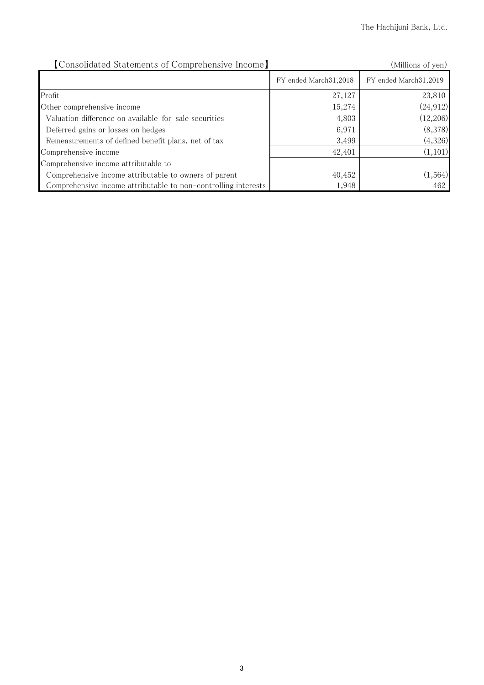| [Consolidated Statements of Comprehensive Income]              |                         | (Millions of yen)       |
|----------------------------------------------------------------|-------------------------|-------------------------|
|                                                                | FY ended March 31, 2018 | FY ended March 31, 2019 |
| Profit                                                         | 27,127                  | 23,810                  |
| Other comprehensive income                                     | 15,274                  | (24, 912)               |
| Valuation difference on available-for-sale securities          | 4,803                   | (12,206)                |
| Deferred gains or losses on hedges                             | 6,971                   | (8,378)                 |
| Remeasurements of defined benefit plans, net of tax            | 3,499                   | (4,326)                 |
| Comprehensive income                                           | 42,401                  | (1,101)                 |
| Comprehensive income attributable to                           |                         |                         |
| Comprehensive income attributable to owners of parent          | 40,452                  | (1, 564)                |
| Comprehensive income attributable to non-controlling interests | 1,948                   | 462                     |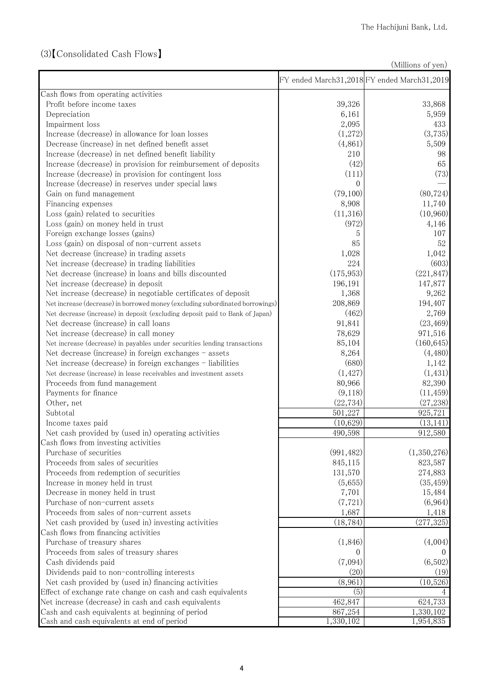## (3)【Consolidated Cash Flows】

(Millions of yen)

|                                                                               |                    | FY ended March31,2018 FY ended March31,2019 |
|-------------------------------------------------------------------------------|--------------------|---------------------------------------------|
| Cash flows from operating activities                                          |                    |                                             |
| Profit before income taxes                                                    | 39,326             | 33,868                                      |
| Depreciation                                                                  | 6,161              | 5,959                                       |
| Impairment loss                                                               | 2,095              | 433                                         |
| Increase (decrease) in allowance for loan losses                              | (1,272)            | (3,735)                                     |
| Decrease (increase) in net defined benefit asset                              | (4,861)            | 5,509                                       |
| Increase (decrease) in net defined benefit liability                          | 210                | 98                                          |
| Increase (decrease) in provision for reimbursement of deposits                | (42)               | 65                                          |
| Increase (decrease) in provision for contingent loss                          | (111)              | (73)                                        |
| Increase (decrease) in reserves under special laws                            | $\Omega$           |                                             |
| Gain on fund management                                                       | (79,100)           | (80, 724)                                   |
| Financing expenses                                                            | 8,908              | 11,740                                      |
| Loss (gain) related to securities                                             | (11,316)           | (10,960)                                    |
| Loss (gain) on money held in trust                                            | (972)              | 4,146                                       |
| Foreign exchange losses (gains)                                               | 5                  | 107                                         |
| Loss (gain) on disposal of non-current assets                                 | 85                 | 52                                          |
| Net decrease (increase) in trading assets                                     | 1,028              | 1,042                                       |
| Net increase (decrease) in trading liabilities                                | 224                | (603)                                       |
| Net decrease (increase) in loans and bills discounted                         | (175, 953)         | (221, 847)                                  |
| Net increase (decrease) in deposit                                            | 196,191            | 147,877                                     |
| Net increase (decrease) in negotiable certificates of deposit                 | 1,368              | 9,262                                       |
| Net increase (decrease) in borrowed money (excluding subordinated borrowings) | 208,869            | 194,407                                     |
| Net decrease (increase) in deposit (excluding deposit paid to Bank of Japan)  | (462)              | 2,769                                       |
| Net decrease (increase) in call loans                                         | 91,841             | (23, 469)                                   |
| Net increase (decrease) in call money                                         | 78,629             | 971,516                                     |
| Net increase (decrease) in payables under securities lending transactions     | 85,104             | (160, 645)                                  |
| Net decrease (increase) in foreign exchanges - assets                         | 8,264              | (4,480)                                     |
| Net increase (decrease) in foreign exchanges - liabilities                    | (680)              | 1,142                                       |
| Net decrease (increase) in lease receivables and investment assets            | (1, 427)           | (1, 431)                                    |
| Proceeds from fund management                                                 | 80,966             | 82,390                                      |
| Payments for finance                                                          | (9,118)            | (11, 459)                                   |
| Other, net                                                                    | (22, 734)          | (27, 238)                                   |
| Subtotal                                                                      | 501,227            | 925,721                                     |
| Income taxes paid                                                             | (10,629)           | (13, 141)                                   |
| Net cash provided by (used in) operating activities                           | 490,598            | 912,580                                     |
| Cash flows from investing activities                                          |                    |                                             |
| Purchase of securities                                                        | (991, 482)         | (1,350,276)                                 |
| Proceeds from sales of securities                                             |                    | 823,587                                     |
| Proceeds from redemption of securities                                        | 845,115            |                                             |
| Increase in money held in trust                                               | 131,570            | 274,883                                     |
|                                                                               | (5,655)            | (35, 459)                                   |
| Decrease in money held in trust                                               | 7,701              | 15,484<br>(6,964)                           |
| Purchase of non-current assets<br>Proceeds from sales of non-current assets   | (7, 721)           |                                             |
|                                                                               | 1,687<br>(18, 784) | 1,418<br>(277, 325)                         |
| Net cash provided by (used in) investing activities                           |                    |                                             |
| Cash flows from financing activities                                          |                    |                                             |
| Purchase of treasury shares                                                   | (1,846)            | (4,004)                                     |
| Proceeds from sales of treasury shares                                        |                    |                                             |
| Cash dividends paid                                                           | (7,094)            | (6,502)                                     |
| Dividends paid to non-controlling interests                                   | (20)               | (19)                                        |
| Net cash provided by (used in) financing activities                           | (8,961)            | (10,526)                                    |
| Effect of exchange rate change on cash and cash equivalents                   | (5)                | 4                                           |
| Net increase (decrease) in cash and cash equivalents                          | 462,847            | 624,733                                     |
| Cash and cash equivalents at beginning of period                              | 867,254            | 1,330,102                                   |
| Cash and cash equivalents at end of period                                    | 1,330,102          | 1,954,835                                   |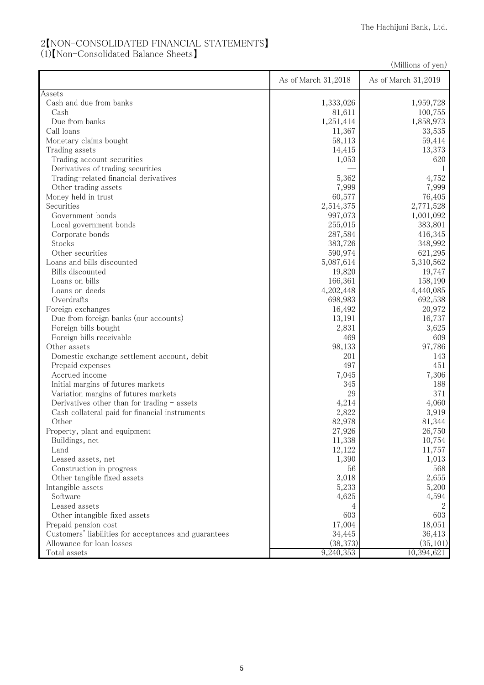## 2【NON-CONSOLIDATED FINANCIAL STATEMENTS】

(1)【Non-Consolidated Balance Sheets】

(Millions of yen)

| <b>Assets</b><br>Cash and due from banks<br>1,333,026<br>1,959,728<br>Cash<br>100,755<br>81,611<br>Due from banks<br>1,858,973<br>1,251,414<br>Call loans<br>11,367<br>33,535<br>Monetary claims bought<br>58,113<br>59,414<br>13,373<br>14,415<br>Trading assets<br>620<br>Trading account securities<br>1,053<br>Derivatives of trading securities<br>1<br>5,362<br>Trading-related financial derivatives<br>4,752<br>Other trading assets<br>7,999<br>7,999<br>76,405<br>Money held in trust<br>60,577<br>Securities<br>2,514,375<br>2,771,528<br>Government bonds<br>997,073<br>1,001,092<br>Local government bonds<br>255,015<br>383,801<br>287,584<br>416,345<br>Corporate bonds<br>Stocks<br>383,726<br>348,992<br>590,974<br>621,295<br>Other securities<br>Loans and bills discounted<br>5,087,614<br>5,310,562<br>Bills discounted<br>19,820<br>19,747<br>158,190<br>Loans on bills<br>166,361<br>4,202,448<br>Loans on deeds<br>4,440,085<br>698,983<br>692,538<br>Overdrafts<br>16,492<br>20,972<br>Foreign exchanges<br>16,737<br>Due from foreign banks (our accounts)<br>13,191<br>Foreign bills bought<br>2,831<br>3,625<br>Foreign bills receivable<br>469<br>609<br>98,133<br>Other assets<br>97,786<br>201<br>143<br>Domestic exchange settlement account, debit<br>497<br>Prepaid expenses<br>451<br>Accrued income<br>7,045<br>7,306<br>Initial margins of futures markets<br>345<br>188<br>29<br>371<br>Variation margins of futures markets<br>4,214<br>Derivatives other than for trading $-$ assets<br>4,060<br>2,822<br>3,919<br>Cash collateral paid for financial instruments<br>82,978<br>Other<br>81,344<br>27,926<br>26,750<br>Property, plant and equipment<br>Buildings, net<br>11,338<br>10,754<br>12,122<br>11,757<br>Land<br>1,013<br>1,390<br>Leased assets, net<br>568<br>Construction in progress<br>56<br>3,018<br>2,655<br>Other tangible fixed assets<br>5,233<br>5,200<br>Intangible assets<br>Software<br>4,625<br>4,594<br>Leased assets<br>4<br>603<br>603<br>Other intangible fixed assets<br>17,004<br>18,051<br>Prepaid pension cost<br>Customers' liabilities for acceptances and guarantees<br>34,445<br>36,413<br>Allowance for loan losses<br>(38, 373)<br>(35, 101)<br>Total assets<br>9,240,353<br>10,394,621 | As of March 31,2018 | As of March 31,2019 |
|----------------------------------------------------------------------------------------------------------------------------------------------------------------------------------------------------------------------------------------------------------------------------------------------------------------------------------------------------------------------------------------------------------------------------------------------------------------------------------------------------------------------------------------------------------------------------------------------------------------------------------------------------------------------------------------------------------------------------------------------------------------------------------------------------------------------------------------------------------------------------------------------------------------------------------------------------------------------------------------------------------------------------------------------------------------------------------------------------------------------------------------------------------------------------------------------------------------------------------------------------------------------------------------------------------------------------------------------------------------------------------------------------------------------------------------------------------------------------------------------------------------------------------------------------------------------------------------------------------------------------------------------------------------------------------------------------------------------------------------------------------------------------------------------------------------------------------------------------------------------------------------------------------------------------------------------------------------------------------------------------------------------------------------------------------------------------------------------------------------------------------------------------------------------------------------------------------------------------------------------------------------------|---------------------|---------------------|
|                                                                                                                                                                                                                                                                                                                                                                                                                                                                                                                                                                                                                                                                                                                                                                                                                                                                                                                                                                                                                                                                                                                                                                                                                                                                                                                                                                                                                                                                                                                                                                                                                                                                                                                                                                                                                                                                                                                                                                                                                                                                                                                                                                                                                                                                      |                     |                     |
|                                                                                                                                                                                                                                                                                                                                                                                                                                                                                                                                                                                                                                                                                                                                                                                                                                                                                                                                                                                                                                                                                                                                                                                                                                                                                                                                                                                                                                                                                                                                                                                                                                                                                                                                                                                                                                                                                                                                                                                                                                                                                                                                                                                                                                                                      |                     |                     |
|                                                                                                                                                                                                                                                                                                                                                                                                                                                                                                                                                                                                                                                                                                                                                                                                                                                                                                                                                                                                                                                                                                                                                                                                                                                                                                                                                                                                                                                                                                                                                                                                                                                                                                                                                                                                                                                                                                                                                                                                                                                                                                                                                                                                                                                                      |                     |                     |
|                                                                                                                                                                                                                                                                                                                                                                                                                                                                                                                                                                                                                                                                                                                                                                                                                                                                                                                                                                                                                                                                                                                                                                                                                                                                                                                                                                                                                                                                                                                                                                                                                                                                                                                                                                                                                                                                                                                                                                                                                                                                                                                                                                                                                                                                      |                     |                     |
|                                                                                                                                                                                                                                                                                                                                                                                                                                                                                                                                                                                                                                                                                                                                                                                                                                                                                                                                                                                                                                                                                                                                                                                                                                                                                                                                                                                                                                                                                                                                                                                                                                                                                                                                                                                                                                                                                                                                                                                                                                                                                                                                                                                                                                                                      |                     |                     |
|                                                                                                                                                                                                                                                                                                                                                                                                                                                                                                                                                                                                                                                                                                                                                                                                                                                                                                                                                                                                                                                                                                                                                                                                                                                                                                                                                                                                                                                                                                                                                                                                                                                                                                                                                                                                                                                                                                                                                                                                                                                                                                                                                                                                                                                                      |                     |                     |
|                                                                                                                                                                                                                                                                                                                                                                                                                                                                                                                                                                                                                                                                                                                                                                                                                                                                                                                                                                                                                                                                                                                                                                                                                                                                                                                                                                                                                                                                                                                                                                                                                                                                                                                                                                                                                                                                                                                                                                                                                                                                                                                                                                                                                                                                      |                     |                     |
|                                                                                                                                                                                                                                                                                                                                                                                                                                                                                                                                                                                                                                                                                                                                                                                                                                                                                                                                                                                                                                                                                                                                                                                                                                                                                                                                                                                                                                                                                                                                                                                                                                                                                                                                                                                                                                                                                                                                                                                                                                                                                                                                                                                                                                                                      |                     |                     |
|                                                                                                                                                                                                                                                                                                                                                                                                                                                                                                                                                                                                                                                                                                                                                                                                                                                                                                                                                                                                                                                                                                                                                                                                                                                                                                                                                                                                                                                                                                                                                                                                                                                                                                                                                                                                                                                                                                                                                                                                                                                                                                                                                                                                                                                                      |                     |                     |
|                                                                                                                                                                                                                                                                                                                                                                                                                                                                                                                                                                                                                                                                                                                                                                                                                                                                                                                                                                                                                                                                                                                                                                                                                                                                                                                                                                                                                                                                                                                                                                                                                                                                                                                                                                                                                                                                                                                                                                                                                                                                                                                                                                                                                                                                      |                     |                     |
|                                                                                                                                                                                                                                                                                                                                                                                                                                                                                                                                                                                                                                                                                                                                                                                                                                                                                                                                                                                                                                                                                                                                                                                                                                                                                                                                                                                                                                                                                                                                                                                                                                                                                                                                                                                                                                                                                                                                                                                                                                                                                                                                                                                                                                                                      |                     |                     |
|                                                                                                                                                                                                                                                                                                                                                                                                                                                                                                                                                                                                                                                                                                                                                                                                                                                                                                                                                                                                                                                                                                                                                                                                                                                                                                                                                                                                                                                                                                                                                                                                                                                                                                                                                                                                                                                                                                                                                                                                                                                                                                                                                                                                                                                                      |                     |                     |
|                                                                                                                                                                                                                                                                                                                                                                                                                                                                                                                                                                                                                                                                                                                                                                                                                                                                                                                                                                                                                                                                                                                                                                                                                                                                                                                                                                                                                                                                                                                                                                                                                                                                                                                                                                                                                                                                                                                                                                                                                                                                                                                                                                                                                                                                      |                     |                     |
|                                                                                                                                                                                                                                                                                                                                                                                                                                                                                                                                                                                                                                                                                                                                                                                                                                                                                                                                                                                                                                                                                                                                                                                                                                                                                                                                                                                                                                                                                                                                                                                                                                                                                                                                                                                                                                                                                                                                                                                                                                                                                                                                                                                                                                                                      |                     |                     |
|                                                                                                                                                                                                                                                                                                                                                                                                                                                                                                                                                                                                                                                                                                                                                                                                                                                                                                                                                                                                                                                                                                                                                                                                                                                                                                                                                                                                                                                                                                                                                                                                                                                                                                                                                                                                                                                                                                                                                                                                                                                                                                                                                                                                                                                                      |                     |                     |
|                                                                                                                                                                                                                                                                                                                                                                                                                                                                                                                                                                                                                                                                                                                                                                                                                                                                                                                                                                                                                                                                                                                                                                                                                                                                                                                                                                                                                                                                                                                                                                                                                                                                                                                                                                                                                                                                                                                                                                                                                                                                                                                                                                                                                                                                      |                     |                     |
|                                                                                                                                                                                                                                                                                                                                                                                                                                                                                                                                                                                                                                                                                                                                                                                                                                                                                                                                                                                                                                                                                                                                                                                                                                                                                                                                                                                                                                                                                                                                                                                                                                                                                                                                                                                                                                                                                                                                                                                                                                                                                                                                                                                                                                                                      |                     |                     |
|                                                                                                                                                                                                                                                                                                                                                                                                                                                                                                                                                                                                                                                                                                                                                                                                                                                                                                                                                                                                                                                                                                                                                                                                                                                                                                                                                                                                                                                                                                                                                                                                                                                                                                                                                                                                                                                                                                                                                                                                                                                                                                                                                                                                                                                                      |                     |                     |
|                                                                                                                                                                                                                                                                                                                                                                                                                                                                                                                                                                                                                                                                                                                                                                                                                                                                                                                                                                                                                                                                                                                                                                                                                                                                                                                                                                                                                                                                                                                                                                                                                                                                                                                                                                                                                                                                                                                                                                                                                                                                                                                                                                                                                                                                      |                     |                     |
|                                                                                                                                                                                                                                                                                                                                                                                                                                                                                                                                                                                                                                                                                                                                                                                                                                                                                                                                                                                                                                                                                                                                                                                                                                                                                                                                                                                                                                                                                                                                                                                                                                                                                                                                                                                                                                                                                                                                                                                                                                                                                                                                                                                                                                                                      |                     |                     |
|                                                                                                                                                                                                                                                                                                                                                                                                                                                                                                                                                                                                                                                                                                                                                                                                                                                                                                                                                                                                                                                                                                                                                                                                                                                                                                                                                                                                                                                                                                                                                                                                                                                                                                                                                                                                                                                                                                                                                                                                                                                                                                                                                                                                                                                                      |                     |                     |
|                                                                                                                                                                                                                                                                                                                                                                                                                                                                                                                                                                                                                                                                                                                                                                                                                                                                                                                                                                                                                                                                                                                                                                                                                                                                                                                                                                                                                                                                                                                                                                                                                                                                                                                                                                                                                                                                                                                                                                                                                                                                                                                                                                                                                                                                      |                     |                     |
|                                                                                                                                                                                                                                                                                                                                                                                                                                                                                                                                                                                                                                                                                                                                                                                                                                                                                                                                                                                                                                                                                                                                                                                                                                                                                                                                                                                                                                                                                                                                                                                                                                                                                                                                                                                                                                                                                                                                                                                                                                                                                                                                                                                                                                                                      |                     |                     |
|                                                                                                                                                                                                                                                                                                                                                                                                                                                                                                                                                                                                                                                                                                                                                                                                                                                                                                                                                                                                                                                                                                                                                                                                                                                                                                                                                                                                                                                                                                                                                                                                                                                                                                                                                                                                                                                                                                                                                                                                                                                                                                                                                                                                                                                                      |                     |                     |
|                                                                                                                                                                                                                                                                                                                                                                                                                                                                                                                                                                                                                                                                                                                                                                                                                                                                                                                                                                                                                                                                                                                                                                                                                                                                                                                                                                                                                                                                                                                                                                                                                                                                                                                                                                                                                                                                                                                                                                                                                                                                                                                                                                                                                                                                      |                     |                     |
|                                                                                                                                                                                                                                                                                                                                                                                                                                                                                                                                                                                                                                                                                                                                                                                                                                                                                                                                                                                                                                                                                                                                                                                                                                                                                                                                                                                                                                                                                                                                                                                                                                                                                                                                                                                                                                                                                                                                                                                                                                                                                                                                                                                                                                                                      |                     |                     |
|                                                                                                                                                                                                                                                                                                                                                                                                                                                                                                                                                                                                                                                                                                                                                                                                                                                                                                                                                                                                                                                                                                                                                                                                                                                                                                                                                                                                                                                                                                                                                                                                                                                                                                                                                                                                                                                                                                                                                                                                                                                                                                                                                                                                                                                                      |                     |                     |
|                                                                                                                                                                                                                                                                                                                                                                                                                                                                                                                                                                                                                                                                                                                                                                                                                                                                                                                                                                                                                                                                                                                                                                                                                                                                                                                                                                                                                                                                                                                                                                                                                                                                                                                                                                                                                                                                                                                                                                                                                                                                                                                                                                                                                                                                      |                     |                     |
|                                                                                                                                                                                                                                                                                                                                                                                                                                                                                                                                                                                                                                                                                                                                                                                                                                                                                                                                                                                                                                                                                                                                                                                                                                                                                                                                                                                                                                                                                                                                                                                                                                                                                                                                                                                                                                                                                                                                                                                                                                                                                                                                                                                                                                                                      |                     |                     |
|                                                                                                                                                                                                                                                                                                                                                                                                                                                                                                                                                                                                                                                                                                                                                                                                                                                                                                                                                                                                                                                                                                                                                                                                                                                                                                                                                                                                                                                                                                                                                                                                                                                                                                                                                                                                                                                                                                                                                                                                                                                                                                                                                                                                                                                                      |                     |                     |
|                                                                                                                                                                                                                                                                                                                                                                                                                                                                                                                                                                                                                                                                                                                                                                                                                                                                                                                                                                                                                                                                                                                                                                                                                                                                                                                                                                                                                                                                                                                                                                                                                                                                                                                                                                                                                                                                                                                                                                                                                                                                                                                                                                                                                                                                      |                     |                     |
|                                                                                                                                                                                                                                                                                                                                                                                                                                                                                                                                                                                                                                                                                                                                                                                                                                                                                                                                                                                                                                                                                                                                                                                                                                                                                                                                                                                                                                                                                                                                                                                                                                                                                                                                                                                                                                                                                                                                                                                                                                                                                                                                                                                                                                                                      |                     |                     |
|                                                                                                                                                                                                                                                                                                                                                                                                                                                                                                                                                                                                                                                                                                                                                                                                                                                                                                                                                                                                                                                                                                                                                                                                                                                                                                                                                                                                                                                                                                                                                                                                                                                                                                                                                                                                                                                                                                                                                                                                                                                                                                                                                                                                                                                                      |                     |                     |
|                                                                                                                                                                                                                                                                                                                                                                                                                                                                                                                                                                                                                                                                                                                                                                                                                                                                                                                                                                                                                                                                                                                                                                                                                                                                                                                                                                                                                                                                                                                                                                                                                                                                                                                                                                                                                                                                                                                                                                                                                                                                                                                                                                                                                                                                      |                     |                     |
|                                                                                                                                                                                                                                                                                                                                                                                                                                                                                                                                                                                                                                                                                                                                                                                                                                                                                                                                                                                                                                                                                                                                                                                                                                                                                                                                                                                                                                                                                                                                                                                                                                                                                                                                                                                                                                                                                                                                                                                                                                                                                                                                                                                                                                                                      |                     |                     |
|                                                                                                                                                                                                                                                                                                                                                                                                                                                                                                                                                                                                                                                                                                                                                                                                                                                                                                                                                                                                                                                                                                                                                                                                                                                                                                                                                                                                                                                                                                                                                                                                                                                                                                                                                                                                                                                                                                                                                                                                                                                                                                                                                                                                                                                                      |                     |                     |
|                                                                                                                                                                                                                                                                                                                                                                                                                                                                                                                                                                                                                                                                                                                                                                                                                                                                                                                                                                                                                                                                                                                                                                                                                                                                                                                                                                                                                                                                                                                                                                                                                                                                                                                                                                                                                                                                                                                                                                                                                                                                                                                                                                                                                                                                      |                     |                     |
|                                                                                                                                                                                                                                                                                                                                                                                                                                                                                                                                                                                                                                                                                                                                                                                                                                                                                                                                                                                                                                                                                                                                                                                                                                                                                                                                                                                                                                                                                                                                                                                                                                                                                                                                                                                                                                                                                                                                                                                                                                                                                                                                                                                                                                                                      |                     |                     |
|                                                                                                                                                                                                                                                                                                                                                                                                                                                                                                                                                                                                                                                                                                                                                                                                                                                                                                                                                                                                                                                                                                                                                                                                                                                                                                                                                                                                                                                                                                                                                                                                                                                                                                                                                                                                                                                                                                                                                                                                                                                                                                                                                                                                                                                                      |                     |                     |
|                                                                                                                                                                                                                                                                                                                                                                                                                                                                                                                                                                                                                                                                                                                                                                                                                                                                                                                                                                                                                                                                                                                                                                                                                                                                                                                                                                                                                                                                                                                                                                                                                                                                                                                                                                                                                                                                                                                                                                                                                                                                                                                                                                                                                                                                      |                     |                     |
|                                                                                                                                                                                                                                                                                                                                                                                                                                                                                                                                                                                                                                                                                                                                                                                                                                                                                                                                                                                                                                                                                                                                                                                                                                                                                                                                                                                                                                                                                                                                                                                                                                                                                                                                                                                                                                                                                                                                                                                                                                                                                                                                                                                                                                                                      |                     |                     |
|                                                                                                                                                                                                                                                                                                                                                                                                                                                                                                                                                                                                                                                                                                                                                                                                                                                                                                                                                                                                                                                                                                                                                                                                                                                                                                                                                                                                                                                                                                                                                                                                                                                                                                                                                                                                                                                                                                                                                                                                                                                                                                                                                                                                                                                                      |                     |                     |
|                                                                                                                                                                                                                                                                                                                                                                                                                                                                                                                                                                                                                                                                                                                                                                                                                                                                                                                                                                                                                                                                                                                                                                                                                                                                                                                                                                                                                                                                                                                                                                                                                                                                                                                                                                                                                                                                                                                                                                                                                                                                                                                                                                                                                                                                      |                     |                     |
|                                                                                                                                                                                                                                                                                                                                                                                                                                                                                                                                                                                                                                                                                                                                                                                                                                                                                                                                                                                                                                                                                                                                                                                                                                                                                                                                                                                                                                                                                                                                                                                                                                                                                                                                                                                                                                                                                                                                                                                                                                                                                                                                                                                                                                                                      |                     |                     |
|                                                                                                                                                                                                                                                                                                                                                                                                                                                                                                                                                                                                                                                                                                                                                                                                                                                                                                                                                                                                                                                                                                                                                                                                                                                                                                                                                                                                                                                                                                                                                                                                                                                                                                                                                                                                                                                                                                                                                                                                                                                                                                                                                                                                                                                                      |                     |                     |
|                                                                                                                                                                                                                                                                                                                                                                                                                                                                                                                                                                                                                                                                                                                                                                                                                                                                                                                                                                                                                                                                                                                                                                                                                                                                                                                                                                                                                                                                                                                                                                                                                                                                                                                                                                                                                                                                                                                                                                                                                                                                                                                                                                                                                                                                      |                     |                     |
|                                                                                                                                                                                                                                                                                                                                                                                                                                                                                                                                                                                                                                                                                                                                                                                                                                                                                                                                                                                                                                                                                                                                                                                                                                                                                                                                                                                                                                                                                                                                                                                                                                                                                                                                                                                                                                                                                                                                                                                                                                                                                                                                                                                                                                                                      |                     |                     |
|                                                                                                                                                                                                                                                                                                                                                                                                                                                                                                                                                                                                                                                                                                                                                                                                                                                                                                                                                                                                                                                                                                                                                                                                                                                                                                                                                                                                                                                                                                                                                                                                                                                                                                                                                                                                                                                                                                                                                                                                                                                                                                                                                                                                                                                                      |                     |                     |
|                                                                                                                                                                                                                                                                                                                                                                                                                                                                                                                                                                                                                                                                                                                                                                                                                                                                                                                                                                                                                                                                                                                                                                                                                                                                                                                                                                                                                                                                                                                                                                                                                                                                                                                                                                                                                                                                                                                                                                                                                                                                                                                                                                                                                                                                      |                     |                     |
|                                                                                                                                                                                                                                                                                                                                                                                                                                                                                                                                                                                                                                                                                                                                                                                                                                                                                                                                                                                                                                                                                                                                                                                                                                                                                                                                                                                                                                                                                                                                                                                                                                                                                                                                                                                                                                                                                                                                                                                                                                                                                                                                                                                                                                                                      |                     |                     |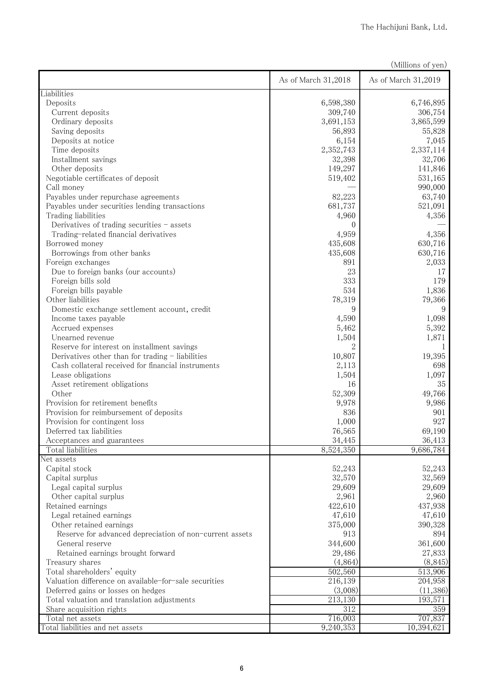|                                                                                                 |                     | (Millions of yen)   |
|-------------------------------------------------------------------------------------------------|---------------------|---------------------|
|                                                                                                 | As of March 31,2018 | As of March 31,2019 |
| Liabilities                                                                                     |                     |                     |
| Deposits                                                                                        | 6,598,380           | 6,746,895           |
| Current deposits                                                                                | 309,740             | 306,754             |
| Ordinary deposits                                                                               | 3,691,153           | 3,865,599           |
| Saving deposits                                                                                 | 56,893              | 55,828              |
| Deposits at notice                                                                              | 6,154               | 7,045               |
| Time deposits                                                                                   | 2,352,743           | 2,337,114           |
| Installment savings                                                                             | 32,398              | 32,706              |
| Other deposits                                                                                  | 149,297             | 141,846             |
| Negotiable certificates of deposit                                                              | 519,402             | 531,165             |
| Call money                                                                                      |                     | 990,000             |
| Payables under repurchase agreements                                                            | 82,223              | 63,740              |
| Payables under securities lending transactions                                                  | 681,737             | 521,091             |
| Trading liabilities                                                                             | 4,960               | 4,356               |
| Derivatives of trading securities - assets                                                      | 0                   |                     |
| Trading-related financial derivatives                                                           | 4,959               | 4,356               |
| Borrowed money                                                                                  | 435,608             | 630,716             |
| Borrowings from other banks                                                                     | 435,608             | 630,716             |
| Foreign exchanges                                                                               | 891<br>23           | 2,033               |
| Due to foreign banks (our accounts)                                                             |                     | 17                  |
| Foreign bills sold                                                                              | 333                 | 179                 |
| Foreign bills payable<br>Other liabilities                                                      | 534                 | 1,836               |
|                                                                                                 | 78,319<br>9         | 79,366<br>9         |
| Domestic exchange settlement account, credit                                                    |                     |                     |
| Income taxes payable                                                                            | 4,590               | 1,098               |
| Accrued expenses                                                                                | 5,462               | 5,392               |
| Unearned revenue                                                                                | 1,504               | 1,871               |
| Reserve for interest on installment savings<br>Derivatives other than for trading - liabilities | 10,807              | 19,395              |
| Cash collateral received for financial instruments                                              | 2,113               | 698                 |
| Lease obligations                                                                               | 1,504               | 1,097               |
| Asset retirement obligations                                                                    | 16                  | 35                  |
| Other                                                                                           | 52,309              | 49,766              |
| Provision for retirement benefits                                                               | 9,978               | 9,986               |
| Provision for reimbursement of deposits                                                         | 836                 | 901                 |
| Provision for contingent loss                                                                   | 1,000               | 927                 |
| Deferred tax liabilities                                                                        | 76,565              | 69,190              |
| Acceptances and guarantees                                                                      | 34,445              | 36,413              |
| Total liabilities                                                                               | 8,524,350           | 9,686,784           |
| Net assets                                                                                      |                     |                     |
| Capital stock                                                                                   | 52,243              | 52,243              |
| Capital surplus                                                                                 | 32,570              | 32,569              |
| Legal capital surplus                                                                           | 29,609              | 29,609              |
| Other capital surplus                                                                           | 2,961               | 2,960               |
| Retained earnings                                                                               | 422,610             | 437,938             |
| Legal retained earnings                                                                         | 47,610              | 47,610              |
| Other retained earnings                                                                         | 375,000             | 390,328             |
| Reserve for advanced depreciation of non-current assets                                         | 913                 | 894                 |
| General reserve                                                                                 | 344,600             | 361,600             |
| Retained earnings brought forward                                                               | 29,486              | 27,833              |
| Treasury shares                                                                                 | (4,864)             | (8, 845)            |
| Total shareholders' equity                                                                      | 502,560             | 513,906             |
| Valuation difference on available-for-sale securities                                           | 216,139             | 204,958             |
| Deferred gains or losses on hedges                                                              | (3,008)             | (11,386)            |
| Total valuation and translation adjustments                                                     | 213,130             | 193,571             |
| Share acquisition rights                                                                        | 312                 | 359                 |
| Total net assets                                                                                | 716,003             | 707,837             |
| Total liabilities and net assets                                                                | 9,240,353           | 10,394,621          |